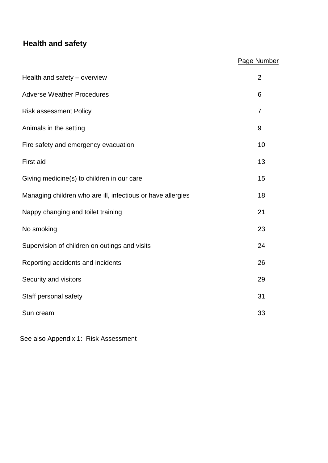# **Health and safety**

# Page Number

| Health and safety - overview                                | $\overline{2}$ |
|-------------------------------------------------------------|----------------|
| <b>Adverse Weather Procedures</b>                           | 6              |
| <b>Risk assessment Policy</b>                               | 7              |
| Animals in the setting                                      | 9              |
| Fire safety and emergency evacuation                        | 10             |
| First aid                                                   | 13             |
| Giving medicine(s) to children in our care                  | 15             |
| Managing children who are ill, infectious or have allergies | 18             |
| Nappy changing and toilet training                          | 21             |
| No smoking                                                  | 23             |
| Supervision of children on outings and visits               | 24             |
| Reporting accidents and incidents                           | 26             |
| Security and visitors                                       | 29             |
| Staff personal safety                                       | 31             |
| Sun cream                                                   | 33             |

See also Appendix 1: Risk Assessment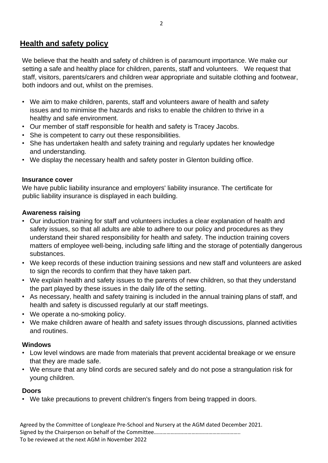# **Health and safety policy**

We believe that the health and safety of children is of paramount importance. We make our setting a safe and healthy place for children, parents, staff and volunteers. We request that staff, visitors, parents/carers and children wear appropriate and suitable clothing and footwear, both indoors and out, whilst on the premises.

- We aim to make children, parents, staff and volunteers aware of health and safety issues and to minimise the hazards and risks to enable the children to thrive in a healthy and safe environment.
- Our member of staff responsible for health and safety is Tracey Jacobs.
- She is competent to carry out these responsibilities.
- She has undertaken health and safety training and regularly updates her knowledge and understanding.
- We display the necessary health and safety poster in Glenton building office.

#### **Insurance cover**

We have public liability insurance and employers' liability insurance. The certificate for public liability insurance is displayed in each building.

## **Awareness raising**

- Our induction training for staff and volunteers includes a clear explanation of health and safety issues, so that all adults are able to adhere to our policy and procedures as they understand their shared responsibility for health and safety. The induction training covers matters of employee well-being, including safe lifting and the storage of potentially dangerous substances.
- We keep records of these induction training sessions and new staff and volunteers are asked to sign the records to confirm that they have taken part.
- We explain health and safety issues to the parents of new children, so that they understand the part played by these issues in the daily life of the setting.
- As necessary, health and safety training is included in the annual training plans of staff, and health and safety is discussed regularly at our staff meetings.
- We operate a no-smoking policy.
- We make children aware of health and safety issues through discussions, planned activities and routines.

# **Windows**

- Low level windows are made from materials that prevent accidental breakage or we ensure that they are made safe.
- We ensure that any blind cords are secured safely and do not pose a strangulation risk for young children.

# **Doors**

• We take precautions to prevent children's fingers from being trapped in doors.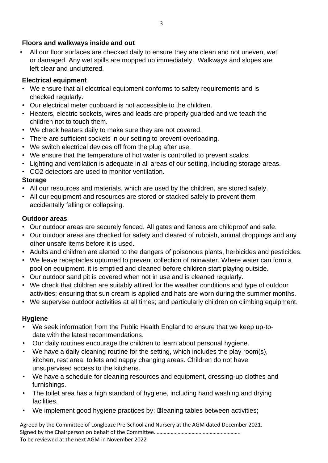### **Floors and walkways inside and out**

• All our floor surfaces are checked daily to ensure they are clean and not uneven, wet or damaged. Any wet spills are mopped up immediately. Walkways and slopes are left clear and uncluttered.

# **Electrical equipment**

- We ensure that all electrical equipment conforms to safety requirements and is checked regularly.
- Our electrical meter cupboard is not accessible to the children.
- Heaters, electric sockets, wires and leads are properly guarded and we teach the children not to touch them.
- We check heaters daily to make sure they are not covered.
- There are sufficient sockets in our setting to prevent overloading.
- We switch electrical devices off from the plug after use.
- We ensure that the temperature of hot water is controlled to prevent scalds.
- Lighting and ventilation is adequate in all areas of our setting, including storage areas.
- CO2 detectors are used to monitor ventilation.

# **Storage**

- All our resources and materials, which are used by the children, are stored safely.
- All our equipment and resources are stored or stacked safely to prevent them accidentally falling or collapsing.

## **Outdoor areas**

- Our outdoor areas are securely fenced. All gates and fences are childproof and safe.
- Our outdoor areas are checked for safety and cleared of rubbish, animal droppings and any other unsafe items before it is used.
- Adults and children are alerted to the dangers of poisonous plants, herbicides and pesticides.
- We leave receptacles upturned to prevent collection of rainwater. Where water can form a pool on equipment, it is emptied and cleaned before children start playing outside.
- Our outdoor sand pit is covered when not in use and is cleaned regularly.
- We check that children are suitably attired for the weather conditions and type of outdoor activities; ensuring that sun cream is applied and hats are worn during the summer months.
- We supervise outdoor activities at all times; and particularly children on climbing equipment.

# **Hygiene**

- We seek information from the Public Health England to ensure that we keep up-todate with the latest recommendations.
- Our daily routines encourage the children to learn about personal hygiene.
- We have a daily cleaning routine for the setting, which includes the play room(s), kitchen, rest area, toilets and nappy changing areas. Children do not have unsupervised access to the kitchens.
- We have a schedule for cleaning resources and equipment, dressing-up clothes and furnishings.
- The toilet area has a high standard of hygiene, including hand washing and drying facilities.
- We implement good hygiene practices by: Leaning tables between activities;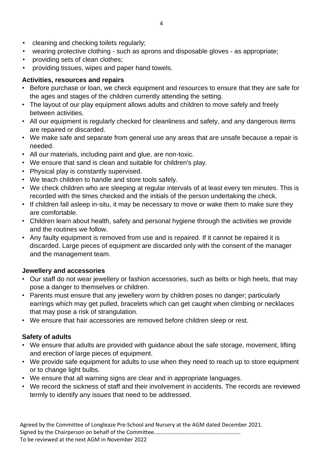- cleaning and checking toilets regularly;
- wearing protective clothing such as aprons and disposable gloves as appropriate;
- providing sets of clean clothes;
- providing tissues, wipes and paper hand towels.

## **Activities, resources and repairs**

- Before purchase or loan, we check equipment and resources to ensure that they are safe for the ages and stages of the children currently attending the setting.
- The layout of our play equipment allows adults and children to move safely and freely between activities.
- All our equipment is regularly checked for cleanliness and safety, and any dangerous items are repaired or discarded.
- We make safe and separate from general use any areas that are unsafe because a repair is needed.
- All our materials, including paint and glue, are non-toxic.
- We ensure that sand is clean and suitable for children's play.
- Physical play is constantly supervised.
- We teach children to handle and store tools safely.
- We check children who are sleeping at regular intervals of at least every ten minutes. This is recorded with the times checked and the initials of the person undertaking the check.
- If children fall asleep in-situ, it may be necessary to move or wake them to make sure they are comfortable.
- Children learn about health, safety and personal hygiene through the activities we provide and the routines we follow.
- Any faulty equipment is removed from use and is repaired. If it cannot be repaired it is discarded. Large pieces of equipment are discarded only with the consent of the manager and the management team.

# **Jewellery and accessories**

- Our staff do not wear jewellery or fashion accessories, such as belts or high heels, that may pose a danger to themselves or children.
- Parents must ensure that any jewellery worn by children poses no danger; particularly earrings which may get pulled, bracelets which can get caught when climbing or necklaces that may pose a risk of strangulation.
- We ensure that hair accessories are removed before children sleep or rest.

# **Safety of adults**

- We ensure that adults are provided with guidance about the safe storage, movement, lifting and erection of large pieces of equipment.
- We provide safe equipment for adults to use when they need to reach up to store equipment or to change light bulbs.
- We ensure that all warning signs are clear and in appropriate languages.
- We record the sickness of staff and their involvement in accidents. The records are reviewed termly to identify any issues that need to be addressed.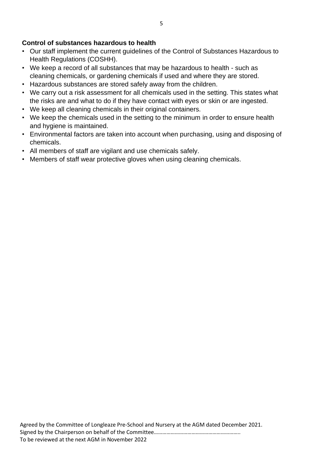### **Control of substances hazardous to health**

- Our staff implement the current guidelines of the Control of Substances Hazardous to Health Regulations (COSHH).
- We keep a record of all substances that may be hazardous to health such as cleaning chemicals, or gardening chemicals if used and where they are stored.
- Hazardous substances are stored safely away from the children.
- We carry out a risk assessment for all chemicals used in the setting. This states what the risks are and what to do if they have contact with eyes or skin or are ingested.
- We keep all cleaning chemicals in their original containers.
- We keep the chemicals used in the setting to the minimum in order to ensure health and hygiene is maintained.
- Environmental factors are taken into account when purchasing, using and disposing of chemicals.
- All members of staff are vigilant and use chemicals safely.
- Members of staff wear protective gloves when using cleaning chemicals.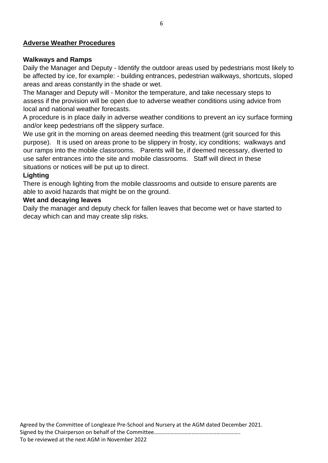#### **Adverse Weather Procedures**

#### **Walkways and Ramps**

Daily the Manager and Deputy - Identify the outdoor areas used by pedestrians most likely to be affected by ice, for example: - building entrances, pedestrian walkways, shortcuts, sloped areas and areas constantly in the shade or wet.

The Manager and Deputy will - Monitor the temperature, and take necessary steps to assess if the provision will be open due to adverse weather conditions using advice from local and national weather forecasts.

A procedure is in place daily in adverse weather conditions to prevent an icy surface forming and/or keep pedestrians off the slippery surface.

We use grit in the morning on areas deemed needing this treatment (grit sourced for this purpose). It is used on areas prone to be slippery in frosty, icy conditions; walkways and our ramps into the mobile classrooms. Parents will be, if deemed necessary, diverted to use safer entrances into the site and mobile classrooms. Staff will direct in these situations or notices will be put up to direct.

#### **Lighting**

There is enough lighting from the mobile classrooms and outside to ensure parents are able to avoid hazards that might be on the ground.

#### **Wet and decaying leaves**

Daily the manager and deputy check for fallen leaves that become wet or have started to decay which can and may create slip risks.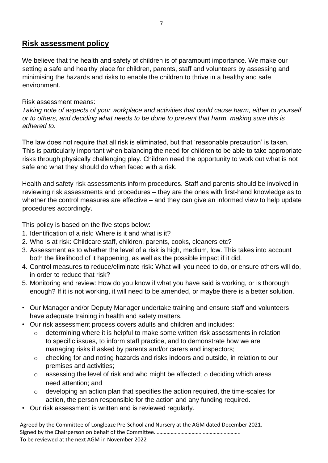# **Risk assessment policy**

We believe that the health and safety of children is of paramount importance. We make our setting a safe and healthy place for children, parents, staff and volunteers by assessing and minimising the hazards and risks to enable the children to thrive in a healthy and safe environment.

## Risk assessment means:

*Taking note of aspects of your workplace and activities that could cause harm, either to yourself or to others, and deciding what needs to be done to prevent that harm, making sure this is adhered to.* 

The law does not require that all risk is eliminated, but that 'reasonable precaution' is taken. This is particularly important when balancing the need for children to be able to take appropriate risks through physically challenging play. Children need the opportunity to work out what is not safe and what they should do when faced with a risk.

Health and safety risk assessments inform procedures. Staff and parents should be involved in reviewing risk assessments and procedures – they are the ones with first-hand knowledge as to whether the control measures are effective – and they can give an informed view to help update procedures accordingly.

This policy is based on the five steps below:

- 1. Identification of a risk: Where is it and what is it?
- 2. Who is at risk: Childcare staff, children, parents, cooks, cleaners etc?
- 3. Assessment as to whether the level of a risk is high, medium, low. This takes into account both the likelihood of it happening, as well as the possible impact if it did.
- 4. Control measures to reduce/eliminate risk: What will you need to do, or ensure others will do, in order to reduce that risk?
- 5. Monitoring and review: How do you know if what you have said is working, or is thorough enough? If it is not working, it will need to be amended, or maybe there is a better solution.
- Our Manager and/or Deputy Manager undertake training and ensure staff and volunteers have adequate training in health and safety matters.
- Our risk assessment process covers adults and children and includes:
	- o determining where it is helpful to make some written risk assessments in relation to specific issues, to inform staff practice, and to demonstrate how we are managing risks if asked by parents and/or carers and inspectors;
	- o checking for and noting hazards and risks indoors and outside, in relation to our premises and activities;
	- $\circ$  assessing the level of risk and who might be affected;  $\circ$  deciding which areas need attention; and
	- o developing an action plan that specifies the action required, the time-scales for action, the person responsible for the action and any funding required.
- Our risk assessment is written and is reviewed regularly.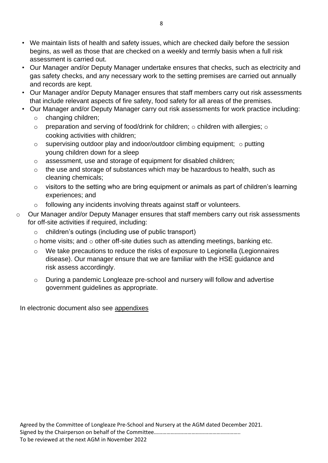- We maintain lists of health and safety issues, which are checked daily before the session begins, as well as those that are checked on a weekly and termly basis when a full risk assessment is carried out.
- Our Manager and/or Deputy Manager undertake ensures that checks, such as electricity and gas safety checks, and any necessary work to the setting premises are carried out annually and records are kept.
- Our Manager and/or Deputy Manager ensures that staff members carry out risk assessments that include relevant aspects of fire safety, food safety for all areas of the premises.
- Our Manager and/or Deputy Manager carry out risk assessments for work practice including:
	- o changing children;
	- $\circ$  preparation and serving of food/drink for children;  $\circ$  children with allergies;  $\circ$ cooking activities with children;
	- $\circ$  supervising outdoor play and indoor/outdoor climbing equipment;  $\circ$  putting young children down for a sleep
	- o assessment, use and storage of equipment for disabled children;
	- o the use and storage of substances which may be hazardous to health, such as cleaning chemicals;
	- o visitors to the setting who are bring equipment or animals as part of children's learning experiences; and
	- o following any incidents involving threats against staff or volunteers.
- o Our Manager and/or Deputy Manager ensures that staff members carry out risk assessments for off-site activities if required, including:
	- o children's outings (including use of public transport)
	- $\circ$  home visits; and  $\circ$  other off-site duties such as attending meetings, banking etc.
	- o We take precautions to reduce the risks of exposure to Legionella (Legionnaires disease). Our manager ensure that we are familiar with the HSE guidance and risk assess accordingly.
	- o During a pandemic Longleaze pre-school and nursery will follow and advertise government guidelines as appropriate.

In electronic document also see appendixes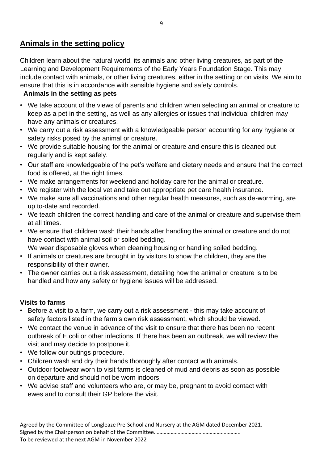# **Animals in the setting policy**

Children learn about the natural world, its animals and other living creatures, as part of the Learning and Development Requirements of the Early Years Foundation Stage. This may include contact with animals, or other living creatures, either in the setting or on visits. We aim to ensure that this is in accordance with sensible hygiene and safety controls.

## **Animals in the setting as pets**

- We take account of the views of parents and children when selecting an animal or creature to keep as a pet in the setting, as well as any allergies or issues that individual children may have any animals or creatures.
- We carry out a risk assessment with a knowledgeable person accounting for any hygiene or safety risks posed by the animal or creature.
- We provide suitable housing for the animal or creature and ensure this is cleaned out regularly and is kept safely.
- Our staff are knowledgeable of the pet's welfare and dietary needs and ensure that the correct food is offered, at the right times.
- We make arrangements for weekend and holiday care for the animal or creature.
- We register with the local vet and take out appropriate pet care health insurance.
- We make sure all vaccinations and other regular health measures, such as de-worming, are up to-date and recorded.
- We teach children the correct handling and care of the animal or creature and supervise them at all times.
- We ensure that children wash their hands after handling the animal or creature and do not have contact with animal soil or soiled bedding.
	- We wear disposable gloves when cleaning housing or handling soiled bedding.
- If animals or creatures are brought in by visitors to show the children, they are the responsibility of their owner.
- The owner carries out a risk assessment, detailing how the animal or creature is to be handled and how any safety or hygiene issues will be addressed.

# **Visits to farms**

- Before a visit to a farm, we carry out a risk assessment this may take account of safety factors listed in the farm's own risk assessment, which should be viewed.
- We contact the venue in advance of the visit to ensure that there has been no recent outbreak of E.coli or other infections. If there has been an outbreak, we will review the visit and may decide to postpone it.
- We follow our outings procedure.
- Children wash and dry their hands thoroughly after contact with animals.
- Outdoor footwear worn to visit farms is cleaned of mud and debris as soon as possible on departure and should not be worn indoors.
- We advise staff and volunteers who are, or may be, pregnant to avoid contact with ewes and to consult their GP before the visit.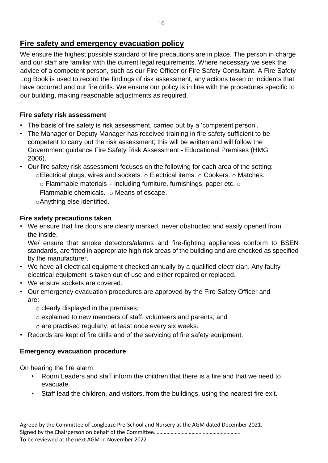# **Fire safety and emergency evacuation policy**

We ensure the highest possible standard of fire precautions are in place. The person in charge and our staff are familiar with the current legal requirements. Where necessary we seek the advice of a competent person, such as our Fire Officer or Fire Safety Consultant. A Fire Safety Log Book is used to record the findings of risk assessment, any actions taken or incidents that have occurred and our fire drills. We ensure our policy is in line with the procedures specific to our building, making reasonable adjustments as required.

### **Fire safety risk assessment**

- The basis of fire safety is risk assessment, carried out by a 'competent person'.
- The Manager or Deputy Manager has received training in fire safety sufficient to be competent to carry out the risk assessment; this will be written and will follow the Government guidance Fire Safety Risk Assessment - Educational Premises (HMG 2006).
- Our fire safety risk assessment focuses on the following for each area of the setting: oElectrical plugs, wires and sockets. o Electrical items. o Cookers. o Matches.  $\circ$  Flammable materials – including furniture, furnishings, paper etc.  $\circ$

Flammable chemicals. o Means of escape.

oAnything else identified.

## **Fire safety precautions taken**

• We ensure that fire doors are clearly marked, never obstructed and easily opened from the inside.

We/ ensure that smoke detectors/alarms and fire-fighting appliances conform to BSEN standards, are fitted in appropriate high risk areas of the building and are checked as specified by the manufacturer.

- We have all electrical equipment checked annually by a qualified electrician. Any faulty electrical equipment is taken out of use and either repaired or replaced.
- We ensure sockets are covered.
- Our emergency evacuation procedures are approved by the Fire Safety Officer and are:
	- $\circ$  clearly displayed in the premises;
	- o explained to new members of staff, volunteers and parents; and
	- o are practised regularly, at least once every six weeks.
- Records are kept of fire drills and of the servicing of fire safety equipment.

# **Emergency evacuation procedure**

On hearing the fire alarm:

- Room Leaders and staff inform the children that there is a fire and that we need to evacuate.
- Staff lead the children, and visitors, from the buildings, using the nearest fire exit.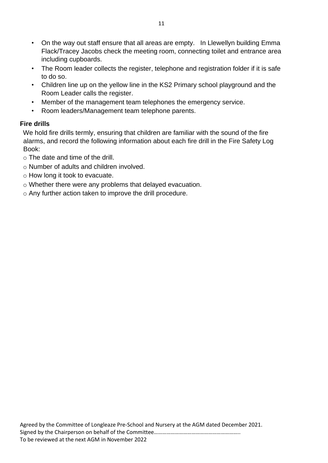- On the way out staff ensure that all areas are empty. In Llewellyn building Emma Flack/Tracey Jacobs check the meeting room, connecting toilet and entrance area including cupboards.
- The Room leader collects the register, telephone and registration folder if it is safe to do so.
- Children line up on the yellow line in the KS2 Primary school playground and the Room Leader calls the register.
- Member of the management team telephones the emergency service.
- Room leaders/Management team telephone parents.

# **Fire drills**

We hold fire drills termly, ensuring that children are familiar with the sound of the fire alarms, and record the following information about each fire drill in the Fire Safety Log Book:

- o The date and time of the drill.
- o Number of adults and children involved.
- o How long it took to evacuate.
- o Whether there were any problems that delayed evacuation.
- o Any further action taken to improve the drill procedure.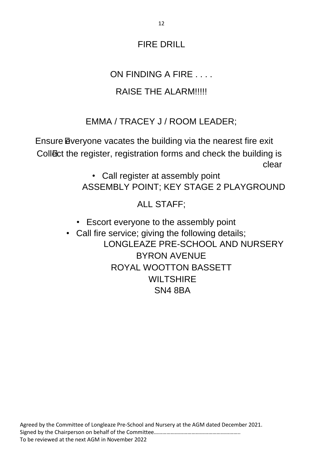# FIRE DRILL

# ON FINDING A FIRE . . . .

# RAISE THE ALARM!!!!!

# EMMA / TRACEY J / ROOM LEADER;

Ensure **E**veryone vacates the building via the nearest fire exit Collect the register, registration forms and check the building is clear

> • Call register at assembly point ASSEMBLY POINT; KEY STAGE 2 PLAYGROUND

> > ALL STAFF;

• Escort everyone to the assembly point

• Call fire service; giving the following details; LONGLEAZE PRE-SCHOOL AND NURSERY BYRON AVENUE ROYAL WOOTTON BASSETT **WILTSHIRE** SN4 8BA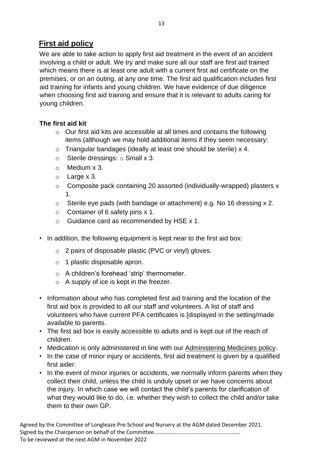# **First aid policy**

We are able to take action to apply first aid treatment in the event of an accident involving a child or adult. We try and make sure all our staff are first aid trained which means there is at least one adult with a current first aid certificate on the premises, or on an outing, at any one time. The first aid qualification includes first aid training for infants and young children. We have evidence of due diligence when choosing first aid training and ensure that it is relevant to adults caring for young children.

# **The first aid kit**

- o Our first aid kits are accessible at all times and contains the following items (although we may hold additional items if they seem necessary:
- o Triangular bandages (ideally at least one should be sterile) x 4.
- $\circ$  Sterile dressings:  $\circ$  Small x 3.
- o Medium x 3.
- o Large x 3.
- o Composite pack containing 20 assorted (individually-wrapped) plasters x 1.
- o Sterile eye pads (with bandage or attachment) e.g. No 16 dressing x 2.
- $\circ$  Container of 6 safety pins x 1.
- o Guidance card as recommended by HSE x 1.
- In addition, the following equipment is kept near to the first aid box:
	- o 2 pairs of disposable plastic (PVC or vinyl) gloves.
	- o 1 plastic disposable apron.
	- o A children's forehead 'strip' thermometer.
	- $\circ$  A supply of ice is kept in the freezer.
- Information about who has completed first aid training and the location of the first aid box is provided to all our staff and volunteers. A list of staff and volunteers who have current PFA certificates is [displayed in the setting/made available to parents.
- The first aid box is easily accessible to adults and is kept out of the reach of children.
- Medication is only administered in line with our Administering Medicines policy.
- In the case of minor injury or accidents, first aid treatment is given by a qualified first aider.
- In the event of minor injuries or accidents, we normally inform parents when they collect their child, unless the child is unduly upset or we have concerns about the injury. In which case we will contact the child's parents for clarification of what they would like to do, i.e. whether they wish to collect the child and/or take them to their own GP.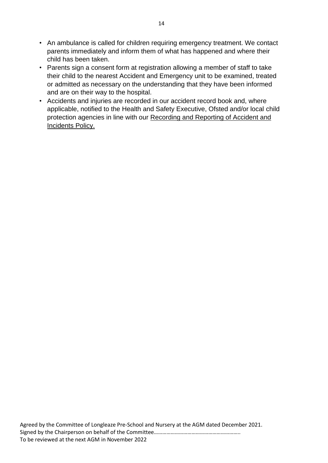- An ambulance is called for children requiring emergency treatment. We contact parents immediately and inform them of what has happened and where their child has been taken.
- Parents sign a consent form at registration allowing a member of staff to take their child to the nearest Accident and Emergency unit to be examined, treated or admitted as necessary on the understanding that they have been informed and are on their way to the hospital.
- Accidents and injuries are recorded in our accident record book and, where applicable, notified to the Health and Safety Executive, Ofsted and/or local child protection agencies in line with our Recording and Reporting of Accident and Incidents Policy.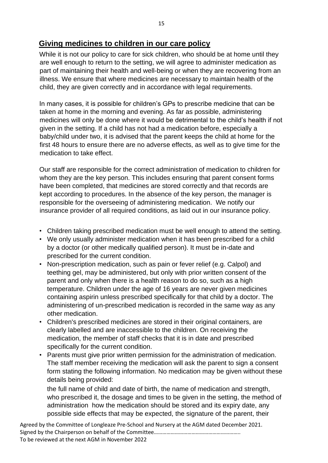# **Giving medicines to children in our care policy**

While it is not our policy to care for sick children, who should be at home until they are well enough to return to the setting, we will agree to administer medication as part of maintaining their health and well-being or when they are recovering from an illness. We ensure that where medicines are necessary to maintain health of the child, they are given correctly and in accordance with legal requirements.

In many cases, it is possible for children's GPs to prescribe medicine that can be taken at home in the morning and evening. As far as possible, administering medicines will only be done where it would be detrimental to the child's health if not given in the setting. If a child has not had a medication before, especially a baby/child under two, it is advised that the parent keeps the child at home for the first 48 hours to ensure there are no adverse effects, as well as to give time for the medication to take effect.

Our staff are responsible for the correct administration of medication to children for whom they are the key person. This includes ensuring that parent consent forms have been completed, that medicines are stored correctly and that records are kept according to procedures. In the absence of the key person, the manager is responsible for the overseeing of administering medication. We notify our insurance provider of all required conditions, as laid out in our insurance policy.

- Children taking prescribed medication must be well enough to attend the setting.
- We only usually administer medication when it has been prescribed for a child by a doctor (or other medically qualified person). It must be in-date and prescribed for the current condition.
- Non-prescription medication, such as pain or fever relief (e.g. Calpol) and teething gel, may be administered, but only with prior written consent of the parent and only when there is a health reason to do so, such as a high temperature. Children under the age of 16 years are never given medicines containing aspirin unless prescribed specifically for that child by a doctor. The administering of un-prescribed medication is recorded in the same way as any other medication.
- Children's prescribed medicines are stored in their original containers, are clearly labelled and are inaccessible to the children. On receiving the medication, the member of staff checks that it is in date and prescribed specifically for the current condition.
- Parents must give prior written permission for the administration of medication. The staff member receiving the medication will ask the parent to sign a consent form stating the following information. No medication may be given without these details being provided:

the full name of child and date of birth, the name of medication and strength, who prescribed it, the dosage and times to be given in the setting, the method of administration how the medication should be stored and its expiry date, any possible side effects that may be expected, the signature of the parent, their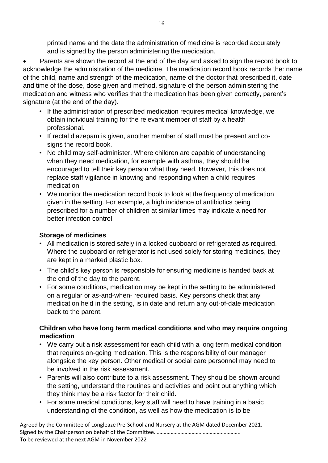printed name and the date the administration of medicine is recorded accurately and is signed by the person administering the medication.

• Parents are shown the record at the end of the day and asked to sign the record book to acknowledge the administration of the medicine. The medication record book records the: name of the child, name and strength of the medication, name of the doctor that prescribed it, date and time of the dose, dose given and method, signature of the person administering the medication and witness who verifies that the medication has been given correctly, parent's signature (at the end of the day).

- If the administration of prescribed medication requires medical knowledge, we obtain individual training for the relevant member of staff by a health professional.
- If rectal diazepam is given, another member of staff must be present and cosigns the record book.
- No child may self-administer. Where children are capable of understanding when they need medication, for example with asthma, they should be encouraged to tell their key person what they need. However, this does not replace staff vigilance in knowing and responding when a child requires medication.
- We monitor the medication record book to look at the frequency of medication given in the setting. For example, a high incidence of antibiotics being prescribed for a number of children at similar times may indicate a need for better infection control.

#### **Storage of medicines**

- All medication is stored safely in a locked cupboard or refrigerated as required. Where the cupboard or refrigerator is not used solely for storing medicines, they are kept in a marked plastic box.
- The child's key person is responsible for ensuring medicine is handed back at the end of the day to the parent.
- For some conditions, medication may be kept in the setting to be administered on a regular or as-and-when- required basis. Key persons check that any medication held in the setting, is in date and return any out-of-date medication back to the parent.

#### **Children who have long term medical conditions and who may require ongoing medication**

- We carry out a risk assessment for each child with a long term medical condition that requires on-going medication. This is the responsibility of our manager alongside the key person. Other medical or social care personnel may need to be involved in the risk assessment.
- Parents will also contribute to a risk assessment. They should be shown around the setting, understand the routines and activities and point out anything which they think may be a risk factor for their child.
- For some medical conditions, key staff will need to have training in a basic understanding of the condition, as well as how the medication is to be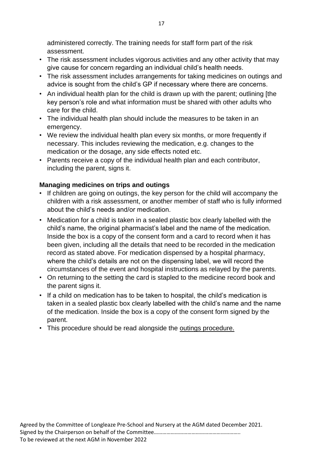administered correctly. The training needs for staff form part of the risk assessment.

- The risk assessment includes vigorous activities and any other activity that may give cause for concern regarding an individual child's health needs.
- The risk assessment includes arrangements for taking medicines on outings and advice is sought from the child's GP if necessary where there are concerns.
- An individual health plan for the child is drawn up with the parent; outlining [the key person's role and what information must be shared with other adults who care for the child.
- The individual health plan should include the measures to be taken in an emergency.
- We review the individual health plan every six months, or more frequently if necessary. This includes reviewing the medication, e.g. changes to the medication or the dosage, any side effects noted etc.
- Parents receive a copy of the individual health plan and each contributor, including the parent, signs it.

## **Managing medicines on trips and outings**

- If children are going on outings, the key person for the child will accompany the children with a risk assessment, or another member of staff who is fully informed about the child's needs and/or medication.
- Medication for a child is taken in a sealed plastic box clearly labelled with the child's name, the original pharmacist's label and the name of the medication. Inside the box is a copy of the consent form and a card to record when it has been given, including all the details that need to be recorded in the medication record as stated above. For medication dispensed by a hospital pharmacy, where the child's details are not on the dispensing label, we will record the circumstances of the event and hospital instructions as relayed by the parents.
- On returning to the setting the card is stapled to the medicine record book and the parent signs it.
- If a child on medication has to be taken to hospital, the child's medication is taken in a sealed plastic box clearly labelled with the child's name and the name of the medication. Inside the box is a copy of the consent form signed by the parent.
- This procedure should be read alongside the outings procedure.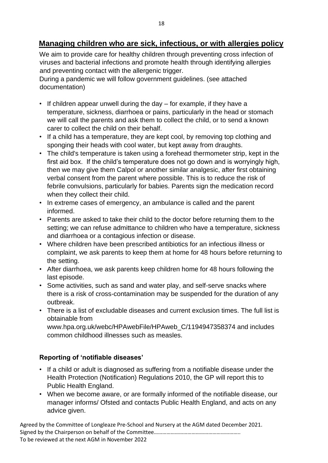# **Managing children who are sick, infectious, or with allergies policy**

We aim to provide care for healthy children through preventing cross infection of viruses and bacterial infections and promote health through identifying allergies and preventing contact with the allergenic trigger.

During a pandemic we will follow government guidelines. (see attached documentation)

- If children appear unwell during the day for example, if they have a temperature, sickness, diarrhoea or pains, particularly in the head or stomach we will call the parents and ask them to collect the child, or to send a known carer to collect the child on their behalf.
- If a child has a temperature, they are kept cool, by removing top clothing and sponging their heads with cool water, but kept away from draughts.
- The child's temperature is taken using a forehead thermometer strip, kept in the first aid box. If the child's temperature does not go down and is worryingly high, then we may give them Calpol or another similar analgesic, after first obtaining verbal consent from the parent where possible. This is to reduce the risk of febrile convulsions, particularly for babies. Parents sign the medication record when they collect their child.
- In extreme cases of emergency, an ambulance is called and the parent informed.
- Parents are asked to take their child to the doctor before returning them to the setting; we can refuse admittance to children who have a temperature, sickness and diarrhoea or a contagious infection or disease.
- Where children have been prescribed antibiotics for an infectious illness or complaint, we ask parents to keep them at home for 48 hours before returning to the setting.
- After diarrhoea, we ask parents keep children home for 48 hours following the last episode.
- Some activities, such as sand and water play, and self-serve snacks where there is a risk of cross-contamination may be suspended for the duration of any outbreak.
- There is a list of excludable diseases and current exclusion times. The full list is obtainable from www.hpa.org.uk/webc/HPAwebFile/HPAweb\_C/1194947358374 and includes

common childhood illnesses such as measles.

# **Reporting of 'notifiable diseases'**

- If a child or adult is diagnosed as suffering from a notifiable disease under the Health Protection (Notification) Regulations 2010, the GP will report this to Public Health England.
- When we become aware, or are formally informed of the notifiable disease, our manager informs/ Ofsted and contacts Public Health England, and acts on any advice given.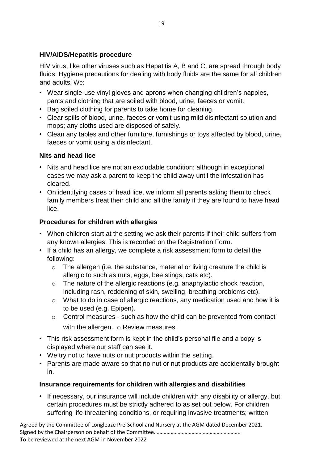## **HIV/AIDS/Hepatitis procedure**

HIV virus, like other viruses such as Hepatitis A, B and C, are spread through body fluids. Hygiene precautions for dealing with body fluids are the same for all children and adults. We:

- Wear single-use vinyl gloves and aprons when changing children's nappies, pants and clothing that are soiled with blood, urine, faeces or vomit.
- Bag soiled clothing for parents to take home for cleaning.
- Clear spills of blood, urine, faeces or vomit using mild disinfectant solution and mops; any cloths used are disposed of safely.
- Clean any tables and other furniture, furnishings or toys affected by blood, urine, faeces or vomit using a disinfectant.

## **Nits and head lice**

- Nits and head lice are not an excludable condition; although in exceptional cases we may ask a parent to keep the child away until the infestation has cleared.
- On identifying cases of head lice, we inform all parents asking them to check family members treat their child and all the family if they are found to have head lice.

## **Procedures for children with allergies**

- When children start at the setting we ask their parents if their child suffers from any known allergies. This is recorded on the Registration Form.
- If a child has an allergy, we complete a risk assessment form to detail the following:
	- o The allergen (i.e. the substance, material or living creature the child is allergic to such as nuts, eggs, bee stings, cats etc).
	- o The nature of the allergic reactions (e.g. anaphylactic shock reaction, including rash, reddening of skin, swelling, breathing problems etc).
	- o What to do in case of allergic reactions, any medication used and how it is to be used (e.g. Epipen).
	- o Control measures such as how the child can be prevented from contact with the allergen.  $\circ$  Review measures.
- This risk assessment form is kept in the child's personal file and a copy is displayed where our staff can see it.
- We try not to have nuts or nut products within the setting.
- Parents are made aware so that no nut or nut products are accidentally brought in.

# **Insurance requirements for children with allergies and disabilities**

• If necessary, our insurance will include children with any disability or allergy, but certain procedures must be strictly adhered to as set out below. For children suffering life threatening conditions, or requiring invasive treatments; written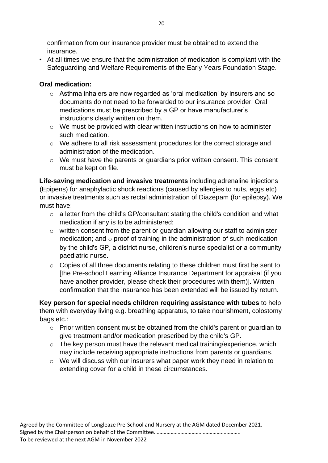confirmation from our insurance provider must be obtained to extend the insurance.

• At all times we ensure that the administration of medication is compliant with the Safeguarding and Welfare Requirements of the Early Years Foundation Stage.

# **Oral medication:**

- o Asthma inhalers are now regarded as 'oral medication' by insurers and so documents do not need to be forwarded to our insurance provider. Oral medications must be prescribed by a GP or have manufacturer's instructions clearly written on them.
- o We must be provided with clear written instructions on how to administer such medication.
- o We adhere to all risk assessment procedures for the correct storage and administration of the medication.
- o We must have the parents or guardians prior written consent. This consent must be kept on file.

**Life-saving medication and invasive treatments** including adrenaline injections (Epipens) for anaphylactic shock reactions (caused by allergies to nuts, eggs etc) or invasive treatments such as rectal administration of Diazepam (for epilepsy). We must have:

- o a letter from the child's GP/consultant stating the child's condition and what medication if any is to be administered;
- o written consent from the parent or guardian allowing our staff to administer medication; and  $\circ$  proof of training in the administration of such medication by the child's GP, a district nurse, children's nurse specialist or a community paediatric nurse.
- $\circ$  Copies of all three documents relating to these children must first be sent to [the Pre-school Learning Alliance Insurance Department for appraisal (if you have another provider, please check their procedures with them)]. Written confirmation that the insurance has been extended will be issued by return.

**Key person for special needs children requiring assistance with tubes** to help them with everyday living e.g. breathing apparatus, to take nourishment, colostomy bags etc.:

- o Prior written consent must be obtained from the child's parent or guardian to give treatment and/or medication prescribed by the child's GP.
- o The key person must have the relevant medical training/experience, which may include receiving appropriate instructions from parents or guardians.
- o We will discuss with our insurers what paper work they need in relation to extending cover for a child in these circumstances.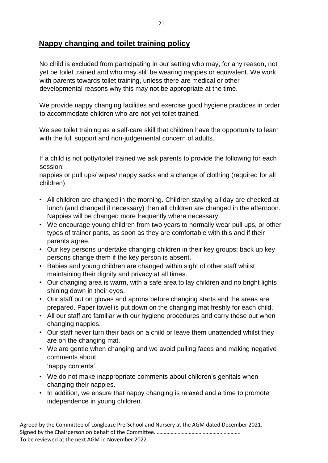# **Nappy changing and toilet training policy**

No child is excluded from participating in our setting who may, for any reason, not yet be toilet trained and who may still be wearing nappies or equivalent. We work with parents towards toilet training, unless there are medical or other developmental reasons why this may not be appropriate at the time.

We provide nappy changing facilities and exercise good hygiene practices in order to accommodate children who are not yet toilet trained.

We see toilet training as a self-care skill that children have the opportunity to learn with the full support and non-judgemental concern of adults.

If a child is not potty/toilet trained we ask parents to provide the following for each session:

nappies or pull ups/ wipes/ nappy sacks and a change of clothing (required for all children)

- All children are changed in the morning. Children staying all day are checked at lunch (and changed if necessary) then all children are changed in the afternoon. Nappies will be changed more frequently where necessary.
- We encourage young children from two years to normally wear pull ups, or other types of trainer pants, as soon as they are comfortable with this and if their parents agree.
- Our key persons undertake changing children in their key groups; back up key persons change them if the key person is absent.
- Babies and young children are changed within sight of other staff whilst maintaining their dignity and privacy at all times.
- Our changing area is warm, with a safe area to lay children and no bright lights shining down in their eyes.
- Our staff put on gloves and aprons before changing starts and the areas are prepared. Paper towel is put down on the changing mat freshly for each child.
- All our staff are familiar with our hygiene procedures and carry these out when changing nappies.
- Our staff never turn their back on a child or leave them unattended whilst they are on the changing mat.
- We are gentle when changing and we avoid pulling faces and making negative comments about
	- 'nappy contents'.
- We do not make inappropriate comments about children's genitals when changing their nappies.
- In addition, we ensure that nappy changing is relaxed and a time to promote independence in young children.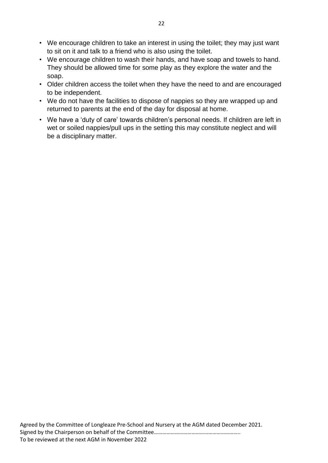- We encourage children to take an interest in using the toilet; they may just want to sit on it and talk to a friend who is also using the toilet.
- We encourage children to wash their hands, and have soap and towels to hand. They should be allowed time for some play as they explore the water and the soap.
- Older children access the toilet when they have the need to and are encouraged to be independent.
- We do not have the facilities to dispose of nappies so they are wrapped up and returned to parents at the end of the day for disposal at home.
- We have a 'duty of care' towards children's personal needs. If children are left in wet or soiled nappies/pull ups in the setting this may constitute neglect and will be a disciplinary matter.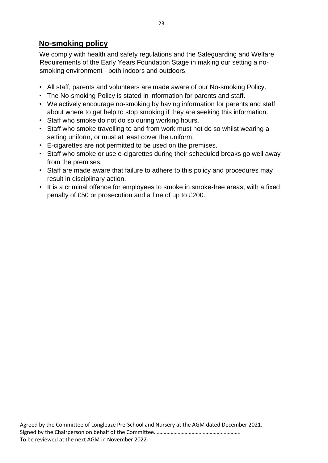# **No-smoking policy**

We comply with health and safety regulations and the Safeguarding and Welfare Requirements of the Early Years Foundation Stage in making our setting a nosmoking environment - both indoors and outdoors.

- All staff, parents and volunteers are made aware of our No-smoking Policy.
- The No-smoking Policy is stated in information for parents and staff.
- We actively encourage no-smoking by having information for parents and staff about where to get help to stop smoking if they are seeking this information.
- Staff who smoke do not do so during working hours.
- Staff who smoke travelling to and from work must not do so whilst wearing a setting uniform, or must at least cover the uniform.
- E-cigarettes are not permitted to be used on the premises.
- Staff who smoke or use e-cigarettes during their scheduled breaks go well away from the premises.
- Staff are made aware that failure to adhere to this policy and procedures may result in disciplinary action.
- It is a criminal offence for employees to smoke in smoke-free areas, with a fixed penalty of £50 or prosecution and a fine of up to £200.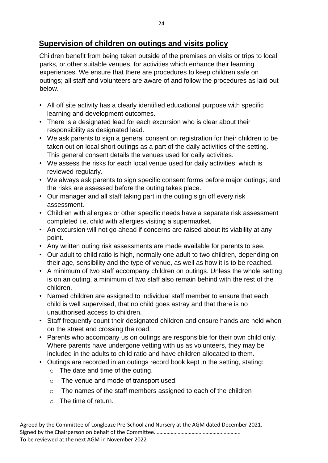# **Supervision of children on outings and visits policy**

Children benefit from being taken outside of the premises on visits or trips to local parks, or other suitable venues, for activities which enhance their learning experiences. We ensure that there are procedures to keep children safe on outings; all staff and volunteers are aware of and follow the procedures as laid out below.

- All off site activity has a clearly identified educational purpose with specific learning and development outcomes.
- There is a designated lead for each excursion who is clear about their responsibility as designated lead.
- We ask parents to sign a general consent on registration for their children to be taken out on local short outings as a part of the daily activities of the setting. This general consent details the venues used for daily activities.
- We assess the risks for each local venue used for daily activities, which is reviewed regularly.
- We always ask parents to sign specific consent forms before major outings; and the risks are assessed before the outing takes place.
- Our manager and all staff taking part in the outing sign off every risk assessment.
- Children with allergies or other specific needs have a separate risk assessment completed i.e. child with allergies visiting a supermarket.
- An excursion will not go ahead if concerns are raised about its viability at any point.
- Any written outing risk assessments are made available for parents to see.
- Our adult to child ratio is high, normally one adult to two children, depending on their age, sensibility and the type of venue, as well as how it is to be reached.
- A minimum of two staff accompany children on outings. Unless the whole setting is on an outing, a minimum of two staff also remain behind with the rest of the children.
- Named children are assigned to individual staff member to ensure that each child is well supervised, that no child goes astray and that there is no unauthorised access to children.
- Staff frequently count their designated children and ensure hands are held when on the street and crossing the road.
- Parents who accompany us on outings are responsible for their own child only. Where parents have undergone vetting with us as volunteers, they may be included in the adults to child ratio and have children allocated to them.
- Outings are recorded in an outings record book kept in the setting, stating:
	- $\circ$  The date and time of the outing.
	- o The venue and mode of transport used.
	- o The names of the staff members assigned to each of the children
	- $\circ$  The time of return.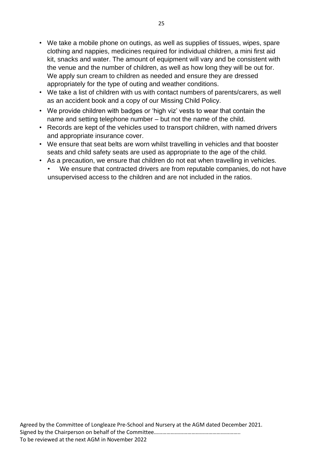- We take a mobile phone on outings, as well as supplies of tissues, wipes, spare clothing and nappies, medicines required for individual children, a mini first aid kit, snacks and water. The amount of equipment will vary and be consistent with the venue and the number of children, as well as how long they will be out for. We apply sun cream to children as needed and ensure they are dressed appropriately for the type of outing and weather conditions.
- We take a list of children with us with contact numbers of parents/carers, as well as an accident book and a copy of our Missing Child Policy.
- We provide children with badges or 'high viz' vests to wear that contain the name and setting telephone number – but not the name of the child.
- Records are kept of the vehicles used to transport children, with named drivers and appropriate insurance cover.
- We ensure that seat belts are worn whilst travelling in vehicles and that booster seats and child safety seats are used as appropriate to the age of the child.
- As a precaution, we ensure that children do not eat when travelling in vehicles.
	- We ensure that contracted drivers are from reputable companies, do not have unsupervised access to the children and are not included in the ratios.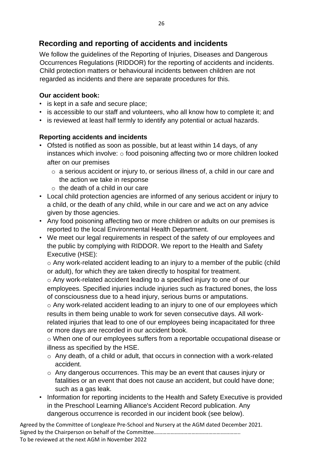# **Recording and reporting of accidents and incidents**

We follow the guidelines of the Reporting of Injuries, Diseases and Dangerous Occurrences Regulations (RIDDOR) for the reporting of accidents and incidents. Child protection matters or behavioural incidents between children are not regarded as incidents and there are separate procedures for this.

## **Our accident book:**

- is kept in a safe and secure place;
- is accessible to our staff and volunteers, who all know how to complete it; and
- is reviewed at least half termly to identify any potential or actual hazards.

## **Reporting accidents and incidents**

- Ofsted is notified as soon as possible, but at least within 14 days, of any instances which involve:  $\circ$  food poisoning affecting two or more children looked after on our premises
	- o a serious accident or injury to, or serious illness of, a child in our care and the action we take in response
	- $\circ$  the death of a child in our care
- Local child protection agencies are informed of any serious accident or injury to a child, or the death of any child, while in our care and we act on any advice given by those agencies.
- Any food poisoning affecting two or more children or adults on our premises is reported to the local Environmental Health Department.
- We meet our legal requirements in respect of the safety of our employees and the public by complying with RIDDOR. We report to the Health and Safety Executive (HSE):

o Any work-related accident leading to an injury to a member of the public (child or adult), for which they are taken directly to hospital for treatment.

o Any work-related accident leading to a specified injury to one of our employees. Specified injuries include injuries such as fractured bones, the loss of consciousness due to a head injury, serious burns or amputations.

o Any work-related accident leading to an injury to one of our employees which results in them being unable to work for seven consecutive days. All work-

related injuries that lead to one of our employees being incapacitated for three or more days are recorded in our accident book.

o When one of our employees suffers from a reportable occupational disease or illness as specified by the HSE.

- o Any death, of a child or adult, that occurs in connection with a work-related accident.
- o Any dangerous occurrences. This may be an event that causes injury or fatalities or an event that does not cause an accident, but could have done; such as a gas leak.
- Information for reporting incidents to the Health and Safety Executive is provided in the Preschool Learning Alliance's Accident Record publication. Any dangerous occurrence is recorded in our incident book (see below).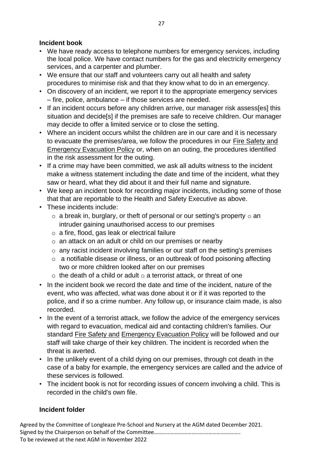#### **Incident book**

- We have ready access to telephone numbers for emergency services, including the local police. We have contact numbers for the gas and electricity emergency services, and a carpenter and plumber.
- We ensure that our staff and volunteers carry out all health and safety procedures to minimise risk and that they know what to do in an emergency.
- On discovery of an incident, we report it to the appropriate emergency services – fire, police, ambulance – if those services are needed.
- If an incident occurs before any children arrive, our manager risk assess[es] this situation and decide[s] if the premises are safe to receive children. Our manager may decide to offer a limited service or to close the setting.
- Where an incident occurs whilst the children are in our care and it is necessary to evacuate the premises/area, we follow the procedures in our Fire Safety and Emergency Evacuation Policy or, when on an outing, the procedures identified in the risk assessment for the outing.
- If a crime may have been committed, we ask all adults witness to the incident make a witness statement including the date and time of the incident, what they saw or heard, what they did about it and their full name and signature.
- We keep an incident book for recording major incidents, including some of those that that are reportable to the Health and Safety Executive as above.
- These incidents include:
	- $\circ$  a break in, burglary, or theft of personal or our setting's property  $\circ$  an intruder gaining unauthorised access to our premises
	- o a fire, flood, gas leak or electrical failure
	- o an attack on an adult or child on our premises or nearby
	- o any racist incident involving families or our staff on the setting's premises
	- o a notifiable disease or illness, or an outbreak of food poisoning affecting two or more children looked after on our premises
	- $\circ$  the death of a child or adult  $\circ$  a terrorist attack, or threat of one
- In the incident book we record the date and time of the incident, nature of the event, who was affected, what was done about it or if it was reported to the police, and if so a crime number. Any follow up, or insurance claim made, is also recorded.
- In the event of a terrorist attack, we follow the advice of the emergency services with regard to evacuation, medical aid and contacting children's families. Our standard Fire Safety and Emergency Evacuation Policy will be followed and our staff will take charge of their key children. The incident is recorded when the threat is averted.
- In the unlikely event of a child dying on our premises, through cot death in the case of a baby for example, the emergency services are called and the advice of these services is followed.
- The incident book is not for recording issues of concern involving a child. This is recorded in the child's own file.

#### **Incident folder**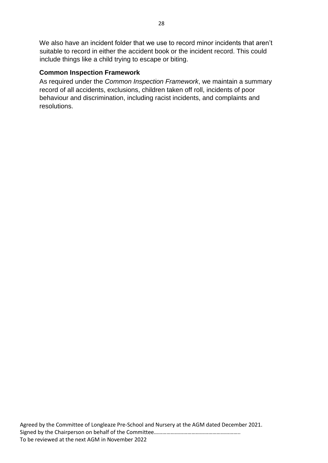We also have an incident folder that we use to record minor incidents that aren't suitable to record in either the accident book or the incident record. This could include things like a child trying to escape or biting.

# **Common Inspection Framework**

As required under the *Common Inspection Framework*, we maintain a summary record of all accidents, exclusions, children taken off roll, incidents of poor behaviour and discrimination, including racist incidents, and complaints and resolutions.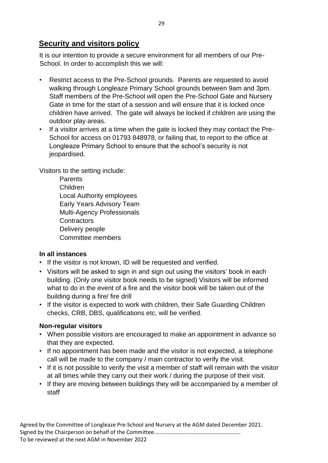# **Security and visitors policy**

It is our intention to provide a secure environment for all members of our Pre-School. In order to accomplish this we will:

- Restrict access to the Pre-School grounds. Parents are requested to avoid walking through Longleaze Primary School grounds between 9am and 3pm. Staff members of the Pre-School will open the Pre-School Gate and Nursery Gate in time for the start of a session and will ensure that it is locked once children have arrived. The gate will always be locked if children are using the outdoor play areas.
- If a visitor arrives at a time when the gate is locked they may contact the Pre-School for access on 01793 848978, or failing that, to report to the office at Longleaze Primary School to ensure that the school's security is not jeopardised.

Visitors to the setting include:

**Parents** Children Local Authority employees Early Years Advisory Team Multi-Agency Professionals **Contractors** Delivery people Committee members

# **In all instances**

- If the visitor is not known, ID will be requested and verified.
- Visitors will be asked to sign in and sign out using the visitors' book in each building. (Only one visitor book needs to be signed) Visitors will be informed what to do in the event of a fire and the visitor book will be taken out of the building during a fire/ fire drill
- If the visitor is expected to work with children, their Safe Guarding Children checks, CRB, DBS, qualifications etc, will be verified.

# **Non-regular visitors**

- When possible visitors are encouraged to make an appointment in advance so that they are expected.
- If no appointment has been made and the visitor is not expected, a telephone call will be made to the company / main contractor to verify the visit.
- If it is not possible to verify the visit a member of staff will remain with the visitor at all times while they carry out their work / during the purpose of their visit.
- If they are moving between buildings they will be accompanied by a member of staff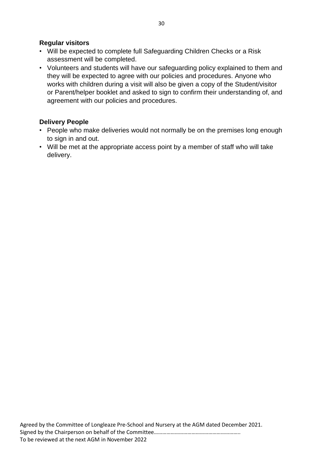#### **Regular visitors**

- Will be expected to complete full Safeguarding Children Checks or a Risk assessment will be completed.
- Volunteers and students will have our safeguarding policy explained to them and they will be expected to agree with our policies and procedures. Anyone who works with children during a visit will also be given a copy of the Student/visitor or Parent/helper booklet and asked to sign to confirm their understanding of, and agreement with our policies and procedures.

#### **Delivery People**

- People who make deliveries would not normally be on the premises long enough to sign in and out.
- Will be met at the appropriate access point by a member of staff who will take delivery.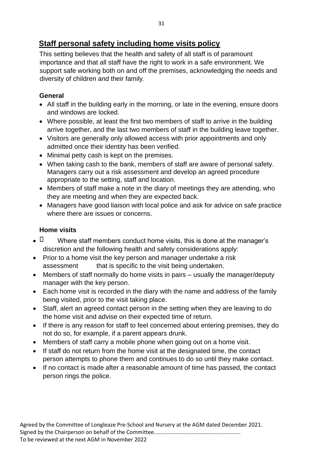# **Staff personal safety including home visits policy**

This setting believes that the health and safety of all staff is of paramount importance and that all staff have the right to work in a safe environment. We support safe working both on and off the premises, acknowledging the needs and diversity of children and their family.

## **General**

- All staff in the building early in the morning, or late in the evening, ensure doors and windows are locked.
- Where possible, at least the first two members of staff to arrive in the building arrive together, and the last two members of staff in the building leave together.
- Visitors are generally only allowed access with prior appointments and only admitted once their identity has been verified.
- Minimal petty cash is kept on the premises.
- When taking cash to the bank, members of staff are aware of personal safety. Managers carry out a risk assessment and develop an agreed procedure appropriate to the setting, staff and location.
- Members of staff make a note in the diary of meetings they are attending, who they are meeting and when they are expected back.
- Managers have good liaison with local police and ask for advice on safe practice where there are issues or concerns.

# **Home visits**

- $\Box$  Where staff members conduct home visits, this is done at the manager's discretion and the following health and safety considerations apply:
- Prior to a home visit the key person and manager undertake a risk assessment that is specific to the visit being undertaken.
- Members of staff normally do home visits in pairs usually the manager/deputy manager with the key person.
- Each home visit is recorded in the diary with the name and address of the family being visited, prior to the visit taking place.
- Staff, alert an agreed contact person in the setting when they are leaving to do the home visit and advise on their expected time of return.
- If there is any reason for staff to feel concerned about entering premises, they do not do so, for example, if a parent appears drunk.
- Members of staff carry a mobile phone when going out on a home visit.
- If staff do not return from the home visit at the designated time, the contact person attempts to phone them and continues to do so until they make contact.
- If no contact is made after a reasonable amount of time has passed, the contact person rings the police.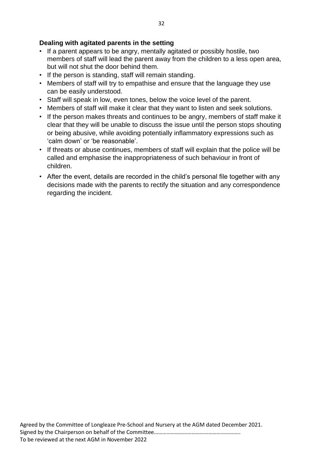### **Dealing with agitated parents in the setting**

- If a parent appears to be angry, mentally agitated or possibly hostile, two members of staff will lead the parent away from the children to a less open area, but will not shut the door behind them.
- If the person is standing, staff will remain standing.
- Members of staff will try to empathise and ensure that the language they use can be easily understood.
- Staff will speak in low, even tones, below the voice level of the parent.
- Members of staff will make it clear that they want to listen and seek solutions.
- If the person makes threats and continues to be angry, members of staff make it clear that they will be unable to discuss the issue until the person stops shouting or being abusive, while avoiding potentially inflammatory expressions such as 'calm down' or 'be reasonable'.
- If threats or abuse continues, members of staff will explain that the police will be called and emphasise the inappropriateness of such behaviour in front of children.
- After the event, details are recorded in the child's personal file together with any decisions made with the parents to rectify the situation and any correspondence regarding the incident.